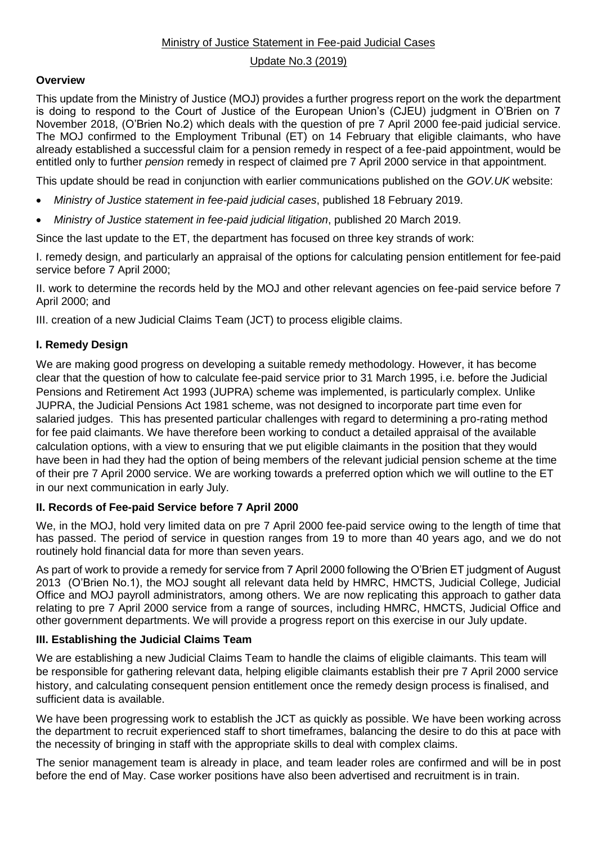# Update No.3 (2019)

# **Overview**

This update from the Ministry of Justice (MOJ) provides a further progress report on the work the department is doing to respond to the Court of Justice of the European Union's (CJEU) judgment in O'Brien on 7 November 2018, (O'Brien No.2) which deals with the question of pre 7 April 2000 fee-paid judicial service. The MOJ confirmed to the Employment Tribunal (ET) on 14 February that eligible claimants, who have already established a successful claim for a pension remedy in respect of a fee-paid appointment, would be entitled only to further *pension* remedy in respect of claimed pre 7 April 2000 service in that appointment.

This update should be read in conjunction with earlier communications published on the *GOV.UK* website:

- *Ministry of Justice statement in fee-paid judicial cases*, published 18 February 2019.
- *Ministry of Justice statement in fee-paid judicial litigation*, published 20 March 2019.

Since the last update to the ET, the department has focused on three key strands of work:

I. remedy design, and particularly an appraisal of the options for calculating pension entitlement for fee-paid service before 7 April 2000;

II. work to determine the records held by the MOJ and other relevant agencies on fee-paid service before 7 April 2000; and

III. creation of a new Judicial Claims Team (JCT) to process eligible claims.

# **I. Remedy Design**

We are making good progress on developing a suitable remedy methodology. However, it has become clear that the question of how to calculate fee-paid service prior to 31 March 1995, i.e. before the Judicial Pensions and Retirement Act 1993 (JUPRA) scheme was implemented, is particularly complex. Unlike JUPRA, the Judicial Pensions Act 1981 scheme, was not designed to incorporate part time even for salaried judges. This has presented particular challenges with regard to determining a pro-rating method for fee paid claimants. We have therefore been working to conduct a detailed appraisal of the available calculation options, with a view to ensuring that we put eligible claimants in the position that they would have been in had they had the option of being members of the relevant judicial pension scheme at the time of their pre 7 April 2000 service. We are working towards a preferred option which we will outline to the ET in our next communication in early July.

# **II. Records of Fee-paid Service before 7 April 2000**

We, in the MOJ, hold very limited data on pre 7 April 2000 fee-paid service owing to the length of time that has passed. The period of service in question ranges from 19 to more than 40 years ago, and we do not routinely hold financial data for more than seven years.

As part of work to provide a remedy for service from 7 April 2000 following the O'Brien ET judgment of August 2013 (O'Brien No.1), the MOJ sought all relevant data held by HMRC, HMCTS, Judicial College, Judicial Office and MOJ payroll administrators, among others. We are now replicating this approach to gather data relating to pre 7 April 2000 service from a range of sources, including HMRC, HMCTS, Judicial Office and other government departments. We will provide a progress report on this exercise in our July update.

# **III. Establishing the Judicial Claims Team**

We are establishing a new Judicial Claims Team to handle the claims of eligible claimants. This team will be responsible for gathering relevant data, helping eligible claimants establish their pre 7 April 2000 service history, and calculating consequent pension entitlement once the remedy design process is finalised, and sufficient data is available.

We have been progressing work to establish the JCT as quickly as possible. We have been working across the department to recruit experienced staff to short timeframes, balancing the desire to do this at pace with the necessity of bringing in staff with the appropriate skills to deal with complex claims.

The senior management team is already in place, and team leader roles are confirmed and will be in post before the end of May. Case worker positions have also been advertised and recruitment is in train.